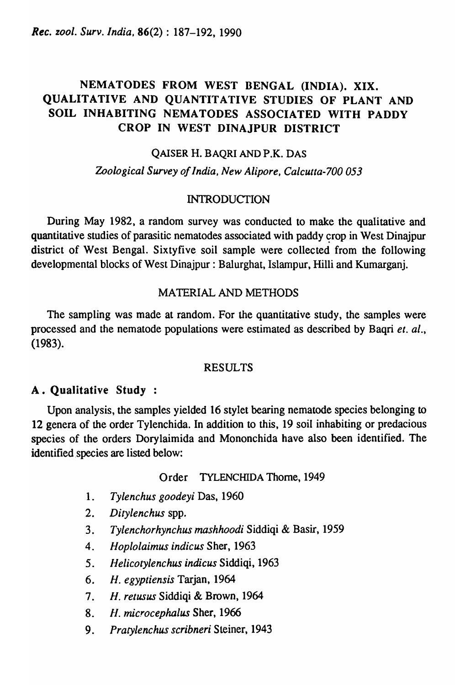# NEMATODES FROM WEST BENGAL (INDIA). XIX. QUALITATIVE AND QUANTITATIVE STUDIES OF PLANT AND SOIL INHABITING NEMATODES ASSOCIATED WITH PADDY CROP IN WEST DINAJPUR DISTRICT

## QAISER H. BAQRI AND P.K. DAS

*Zoological Survey of India, New Alipore, Calcutta-700 053* 

## **INTRODUCTION**

During May 1982, a random survey was conducted to make the qualitative and quantitative studies of parasitic nematodes associated with paddy crop in West Dinajpur district of West Bengal. Sixtyfive soil sample were collected from the following developmental blocks of West Dinajpur: Balurghat, Islampur, Hilli and Kumarganj.

## MATERIAL AND METHODS

The sampling was made at random. For the quantitative study, the samples were processed and the nematode populations were estimated as described by Baqri *et. al.,*  (1983).

## RESULTS

# A. Qualitative Study :

Upon analysis, the samples yielded 16 stylet bearing nematode species belonging to 12 genera of the order Tylenchida. In addition to this, 19 soil inhabiting or predacious species of the orders Dorylaimida and Mononchida have also been identified. The identified species are listed below:

## Order TYLENCHIDA Thome, 1949

- 1. *Tylenchus goodeyi* Das, 1960
- 2. *Ditylenchus* spp.
- *3. Tylenchorhynchus mashhoodi* Siddiqi & Basir, 1959
- 4. *Hoplolaimus indicus* Sher, 1963
- *5. /Ielicotylenchus indicus* Siddiqi, 1963
- 6. *H. egyptiensis* Tarjan, 1964
- 7. H. *retusus* Siddiqi & Brown, 1964
- *8.* fl. *microcephalus* Sher, 1966
- *9. Pratylenchus scribneri* Steiner, 1943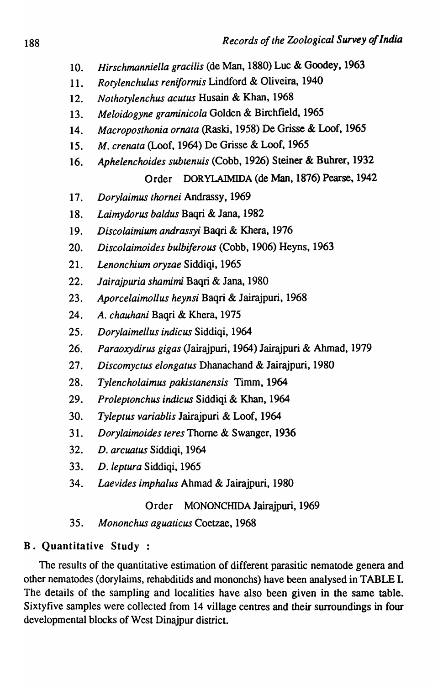- 10. *Hirschmanniella gracilis* (de Man, 1880) Luc & Goodey, 1963
- 11. *Rotylenchulus reniformis* Lindford & Oliveira, 1940
- 12. *Nothotylenchus acutus* Husain & Khan, 1968
- 13. *Meloidogyne graminicola* Golden & Birchfield, 1965
- 14. *Macroposthonia ornata* (Raski, 1958) De Grisse & Loof, 1965
- 15. *M. crenata* (Loof, 1964) De Grisse & Loof, 1965
- 16. *Aphelenchoides subtenuis* (Cobb, 1926) Steiner & Buhrer, 1932

# Order DORYLAIMIDA (de Man, 1876) Pearse, 1942

- *17. Dorylaimus thornei* Andrassy, 1969
- *18. Laimydorus baldus* Baqri & Jana, 1982
- *19. Discolaimium andrassyi* Baqri & Khera, 1976
- *20. Discolaimoides bulbiferous* (Cobb, 1906) Heyns, 1963
- *21. Lenonchiwn oryzae* Siddiqi, 1965
- 22. *Jairajpuria shamimi* Baqri & Jana, 1980
- *23. Aporcelaimollus heynsi* Baqri & Jairajpuri, 1968
- 24. *A. chauhani* Baqri & Khera, 1975
- *25. Dorylaimellus indicus* Siddiqi, 1964
- *26. Paraoxydirus gigas* (Jairajpuri, 1964) Jairajpuri & Ahmad, 1979
- *27. Discomyctus elongatus* Dhanachand & Jairajpwi, 1980
- *28. Tylencholaimus pakistanensis* Timm,1964
- *29. Proleptonchus indicus* Siddiqi & Khan, 1964
- *30. Tyleptus variablis* Jairajpuri & Loaf, 1964
- *31. Dorylaimoicies teres* Thome & Swanger, 1936
- *32. D. arcuatus* Siddiqi, 1964
- *33. D. leptura* Siddiqi, 1965
- *34. Laevides imphalus* Ahmad & Jairajpuri, 1980

# Order MONONCHIDA Jairajpuri, 1969

*35. Mononchus aguaticus* Coetzae, 1968

# B. Quantitative Study :

The results of the quantitative estimation of different parasitic nematode genera and other nematodes (dorylaims, rehabditids and mononchs) have been analysed in TABLE I. The details of the sampling and localities have also been given in the same table. Sixtyfive samples were collected from 14 village centres and their surroundings in four developmental blocks of West Dinajpur district.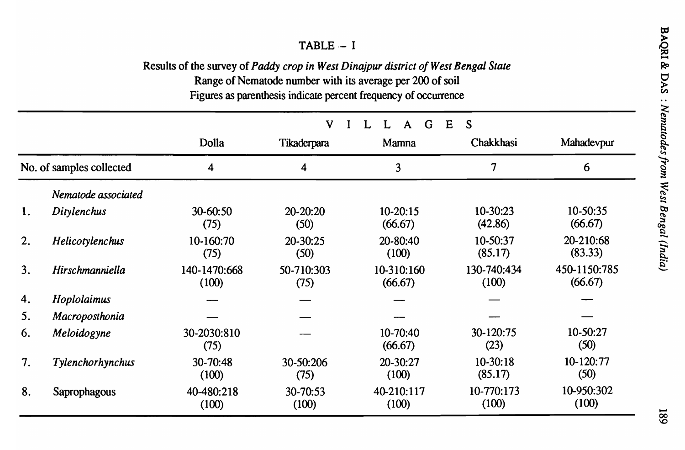# $TABLE - I$

Results of the survey of *Paddy crop in West Dinajpur district of West Bengal State* 

Range of Nematode number with its average per 200 of soil Figures as parenthesis indicate percent frequency of occurrence

|                          |                     | Dolla                 | V<br>Tikaderpara   | A G<br>$\mathbf{L}$<br>L<br>Mamna | E<br><sub>S</sub><br>Chakkhasi | Mahadevpur              |
|--------------------------|---------------------|-----------------------|--------------------|-----------------------------------|--------------------------------|-------------------------|
| No. of samples collected |                     | 4                     | 4                  | 3                                 | $\overline{7}$                 | 6                       |
|                          | Nematode associated |                       |                    |                                   |                                |                         |
| 1.                       | Ditylenchus         | 30-60:50<br>(75)      | 20-20:20<br>(50)   | $10-20:15$<br>(66.67)             | 10-30:23<br>(42.86)            | 10-50:35<br>(66.67)     |
| 2.                       | Helicotylenchus     | 10-160:70<br>(75)     | 20-30:25<br>(50)   | 20-80:40<br>(100)                 | 10-50:37<br>(85.17)            | 20-210:68<br>(83.33)    |
| 3.                       | Hirschmanniella     | 140-1470:668<br>(100) | 50-710:303<br>(75) | 10-310:160<br>(66.67)             | 130-740:434<br>(100)           | 450-1150:785<br>(66.67) |
| 4.                       | Hoplolaimus         |                       |                    |                                   |                                |                         |
| 5.                       | Macroposthonia      |                       |                    |                                   |                                |                         |
| 6.                       | Meloidogyne         | 30-2030:810<br>(75)   |                    | 10-70:40<br>(66.67)               | 30-120:75<br>(23)              | 10-50:27<br>(50)        |
| 7.                       | Tylenchorhynchus    | 30-70:48<br>(100)     | 30-50:206<br>(75)  | 20-30:27<br>(100)                 | 10-30:18<br>(85.17)            | 10-120:77<br>(50)       |
| 8.                       | Saprophagous        | 40-480:218<br>(100)   | 30-70:53<br>(100)  | 40-210:117<br>(100)               | 10-770:173<br>(100)            | 10-950:302<br>(100)     |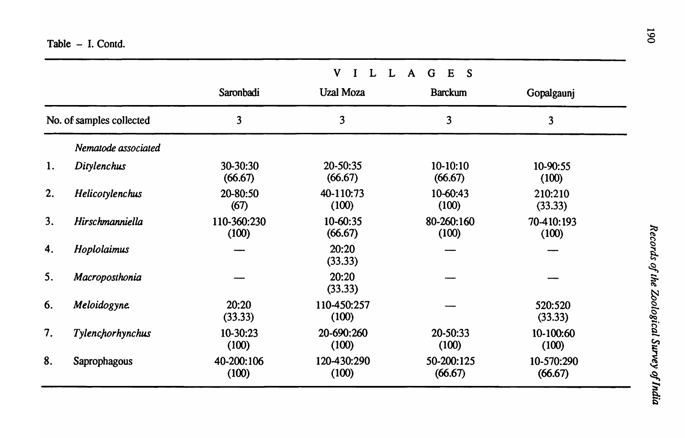|    |                          |                      | V<br>L<br>$\mathbf{L}$<br>$\mathbf{I}$ | E S<br>G<br>$\mathbf{A}$ |                       |  |
|----|--------------------------|----------------------|----------------------------------------|--------------------------|-----------------------|--|
|    |                          | Saronbadi            | <b>Uzal Moza</b>                       | <b>Barckum</b>           | Gopalgaunj            |  |
|    | No. of samples collected | 3                    | 3 <sup>1</sup>                         | 3                        | 3                     |  |
|    | Nematode associated      |                      |                                        |                          |                       |  |
| 1. | Ditylenchus              | 30-30:30<br>(66.67)  | 20-50:35<br>(66.67)                    | $10-10:10$<br>(66.67)    | 10-90:55<br>(100)     |  |
| 2. | Helicotylenchus          | 20-80:50<br>(67)     | 40-110:73<br>(100)                     | 10-60:43<br>(100)        | 210:210<br>(33.33)    |  |
| 3. | Hirschmanniella          | 110-360:230<br>(100) | 10-60:35<br>(66.67)                    | 80-260:160<br>(100)      | 70-410:193<br>(100)   |  |
| 4. | Hoplolaimus              |                      | 20:20<br>(33.33)                       |                          |                       |  |
| 5. | Macroposthonia           |                      | 20:20<br>(33.33)                       |                          |                       |  |
| 6. | Meloidogyne.             | 20:20<br>(33.33)     | 110-450:257<br>(100)                   |                          | 520:520<br>(33.33)    |  |
| 7. | Tylenchorhynchus         | 10-30:23<br>(100)    | 20-690:260<br>(100)                    | 20-50:33<br>(100)        | 10-100:60<br>(100)    |  |
| 8. | Saprophagous             | 40-200:106<br>(100)  | 120-430:290<br>(100)                   | 50-200:125<br>(66.67)    | 10-570:290<br>(66.67) |  |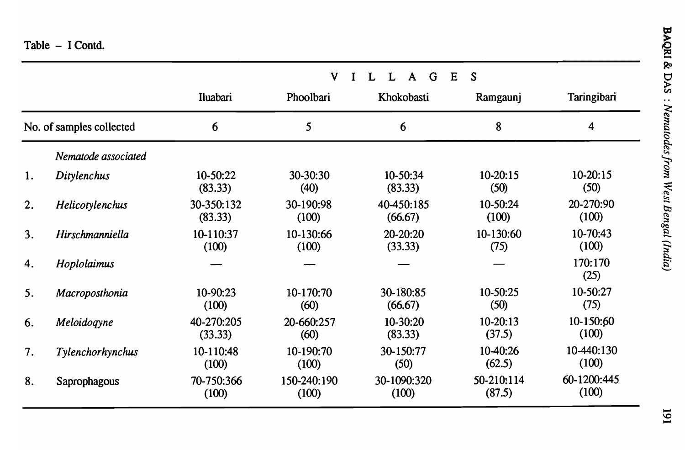|                          |            | E<br>S<br>$\mathbf V$<br>G<br>L<br>$\mathbf{A}$ |             |            |                 |  |  |
|--------------------------|------------|-------------------------------------------------|-------------|------------|-----------------|--|--|
|                          | Iluabari   | Phoolbari                                       | Khokobasti  | Ramgaunj   | Taringibari     |  |  |
| No. of samples collected | 6          | 5                                               | 6           | 8          | 4               |  |  |
| Nematode associated      |            |                                                 |             |            |                 |  |  |
| Ditylenchus              | 10-50:22   | 30-30:30                                        | 10-50:34    | 10-20:15   | $10-20:15$      |  |  |
| 1.                       | (83.33)    | (40)                                            | (83.33)     | (50)       | (50)            |  |  |
| 2.                       | 30-350:132 | 30-190:98                                       | 40-450:185  | 10-50:24   | 20-270:90       |  |  |
| Helicotylenchus          | (83.33)    | (100)                                           | (66.67)     | (100)      | (100)           |  |  |
| 3.                       | 10-110:37  | 10-130:66                                       | 20-20:20    | 10-130:60  | 10-70:43        |  |  |
| Hirschmanniella          | (100)      | (100)                                           | (33.33)     | (75)       | (100)           |  |  |
| 4.<br>Hoplolaimus        |            |                                                 |             |            | 170:170<br>(25) |  |  |
| 5.                       | 10-90:23   | 10-170:70                                       | 30-180:85   | 10-50:25   | 10-50:27        |  |  |
| Macroposthonia           | (100)      | (60)                                            | (66.67)     | (50)       | (75)            |  |  |
| Meloidogyne              | 40-270:205 | 20-660:257                                      | 10-30:20    | $10-20:13$ | 10-150:60       |  |  |
| 6.                       | (33.33)    | (60)                                            | (83.33)     | (37.5)     | (100)           |  |  |
| 7.                       | 10-110:48  | 10-190:70                                       | 30-150:77   | 10-40:26   | 10-440:130      |  |  |
| Tylenchorhynchus         | (100)      | (100)                                           | (50)        | (62.5)     | (100)           |  |  |
| 8.                       | 70-750:366 | 150-240:190                                     | 30-1090:320 | 50-210:114 | 60-1200:445     |  |  |
| Saprophagous             | (100)      | (100)                                           | (100)       | (87.5)     | (100)           |  |  |